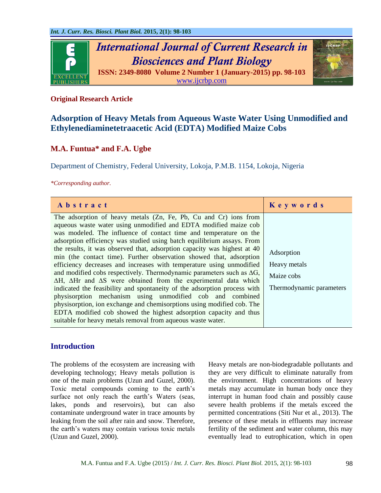

## **Original Research Article**

# **Adsorption of Heavy Metals from Aqueous Waste Water Using Unmodified and Ethylenediaminetetraacetic Acid (EDTA) Modified Maize Cobs**

## **M.A. Funtua\* and F.A. Ugbe**

Department of Chemistry, Federal University, Lokoja, P.M.B. 1154, Lokoja, Nigeria

*\*Corresponding author.*

| Abstract                                                                                                                                                                                                                                                                                                                                                                                                                                                                                                                                                                                                                                                                                                                                                                                                                                                                                                                                                                                                                                          | Keywords                                                             |
|---------------------------------------------------------------------------------------------------------------------------------------------------------------------------------------------------------------------------------------------------------------------------------------------------------------------------------------------------------------------------------------------------------------------------------------------------------------------------------------------------------------------------------------------------------------------------------------------------------------------------------------------------------------------------------------------------------------------------------------------------------------------------------------------------------------------------------------------------------------------------------------------------------------------------------------------------------------------------------------------------------------------------------------------------|----------------------------------------------------------------------|
| The adsorption of heavy metals (Zn, Fe, Pb, Cu and Cr) ions from<br>aqueous waste water using unmodified and EDTA modified maize cob<br>was modeled. The influence of contact time and temperature on the<br>adsorption efficiency was studied using batch equilibrium assays. From<br>the results, it was observed that, adsorption capacity was highest at 40<br>min (the contact time). Further observation showed that, adsorption<br>efficiency decreases and increases with temperature using unmodified<br>and modified cobs respectively. Thermodynamic parameters such as $\Delta G$ ,<br>$\Delta H$ , $\Delta H$ r and $\Delta S$ were obtained from the experimental data which<br>indicated the feasibility and spontaneity of the adsorption process with<br>physisorption mechanism using unmodified cob and combined<br>physisorption, ion exchange and chemisorptions using modified cob. The<br>EDTA modified cob showed the highest adsorption capacity and thus<br>suitable for heavy metals removal from aqueous waste water. | Adsorption<br>Heavy metals<br>Maize cobs<br>Thermodynamic parameters |

## **Introduction**

The problems of the ecosystem are increasing with developing technology; Heavy metals pollution is one of the main problems (Uzun and Guzel, 2000). Toxic metal compounds coming to the earth's surface not only reach the earth's Waters (seas, lakes, ponds and reservoirs), but can also contaminate underground water in trace amounts by leaking from the soil after rain and snow. Therefore, the earth's waters may contain various toxic metals (Uzun and Guzel, 2000).

Heavy metals are non-biodegradable pollutants and they are very difficult to eliminate naturally from the environment. High concentrations of heavy metals may accumulate in human body once they interrupt in human food chain and possibly cause severe health problems if the metals exceed the permitted concentrations (Siti Nur et al., 2013). The presence of these metals in effluents may increase fertility of the sediment and water column, this may eventually lead to eutrophication, which in open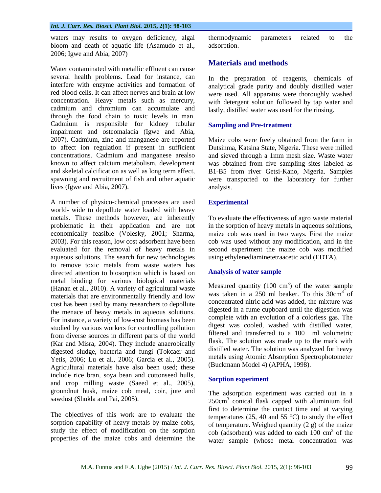waters may results to oxygen deficiency, algal bloom and death of aquatic life (Asamudo et al., 2006; Igwe and Abia, 2007)

Water contaminated with metallic effluent can cause several health problems. Lead for instance, can interfere with enzyme activities and formation of red blood cells. It can affect nerves and brain at low concentration. Heavy metals such as mercury, cadmium and chromium can accumulate and through the food chain to toxic levels in man. Cadmium is responsible for kidney tubular impairment and osteomalacia (Igwe and Abia, 2007). Cadmium, zinc and manganese are reported to affect ion regulation if present in sufficient concentrations. Cadmium and manganese arealso known to affect calcium metabolism, development and skeletal calcification as well as long term effect, spawning and recruitment of fish and other aquatic lives (Igwe and Abia, 2007).

A number of physico-chemical processes are used world- wide to depollute water loaded with heavy metals. These methods however, are inherently problematic in their application and are not economically feasible (Volesky, 2001; Sharma, 2003). For this reason, low cost adsorbent have been evaluated for the removal of heavy metals in aqueous solutions. The search for new technologies to remove toxic metals from waste waters has directed attention to biosorption which is based on metal binding for various biological materials (Hanan et al., 2010). A variety of agricultural waste materials that are environmentally friendly and low cost has been used by many researchers to depollute the menace of heavy metals in aqueous solutions. For instance, a variety of low-cost biomass has been studied by various workers for controlling pollution from diverse sources in different parts of the world (Kar and Misra, 2004). They include anaerobically digested sludge, bacteria and fungi (Tokcaer and Yetis, 2006; Lu et al., 2006; Garcia et al., 2005). Agricultural materials have also been used; these include rice bran, soya bean and cottonseed hulls, and crop milling waste (Saeed et al., 2005), groundnut husk, maize cob meal, coir, jute and sawdust (Shukla and Pai, 2005).

The objectives of this work are to evaluate the sorption capability of heavy metals by maize cobs, study the effect of modification on the sorption properties of the maize cobs and determine the thermodynamic parameters related to the adsorption.

## **Materials and methods**

In the preparation of reagents, chemicals of analytical grade purity and doubly distilled water were used. All apparatus were thoroughly washed with detergent solution followed by tap water and lastly, distilled water was used for the rinsing.

## **Sampling and Pre-treatment**

Maize cobs were freely obtained from the farm in Dutsinma, Katsina State, Nigeria. These were milled and sieved through a 1mm mesh size. Waste water was obtained from five sampling sites labeled as B1-B5 from river Getsi-Kano, Nigeria. Samples were transported to the laboratory for further analysis.

## **Experimental**

To evaluate the effectiveness of agro waste material in the sorption of heavy metals in aqueous solutions, maize cob was used in two ways. First the maize cob was used without any modification, and in the second experiment the maize cob was modified using ethylenediaminetetraacetic acid (EDTA).

## **Analysis of water sample**

Measured quantity (100 cm<sup>3</sup>) of the water sample was taken in a  $250$  ml beaker. To this  $30 \text{cm}^3$  of concentrated nitric acid was added, the mixture was digested in a fume cupboard until the digestion was complete with an evolution of a colorless gas. The digest was cooled, washed with distilled water, filtered and transferred to a 100 ml volumetric flask. The solution was made up to the mark with distilled water. The solution was analyzed for heavy metals using Atomic Absorption Spectrophotometer (Buckmann Model 4) (APHA, 1998).

## **Sorption experiment**

The adsorption experiment was carried out in a 250cm<sup>3</sup> conical flask capped with aluminium foil first to determine the contact time and at varying temperatures (25, 40 and 55 $^{\circ}$ C) to study the effect of temperature. Weighed quantity  $(2 g)$  of the maize  $\cosh$  (adsorbent) was added to each  $100 \text{ cm}^3$  of the water sample (whose metal concentration was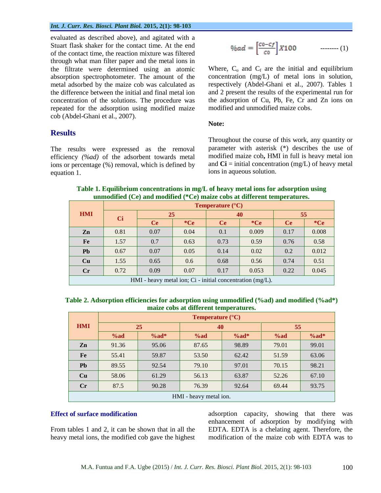#### *Int. J. Curr. Res. Biosci. Plant Biol.* **2015, 2(1): 98-103**

evaluated as described above), and agitated with a Stuart flask shaker for the contact time. At the end of the contact time, the reaction mixture was filtered through what man filter paper and the metal ions in the filtrate were determined using an atomic absorption spectrophotometer. The amount of the metal adsorbed by the maize cob was calculated as the difference between the initial and final metal ion concentration of the solutions. The procedure was repeated for the adsorption using modified maize cob (Abdel-Ghani et al., 2007).

## **Results**

The results were expressed as the removal efficiency *(%ad)* of the adsorbent towards metal ions or percentage (%) removal, which is defined by equation 1.

$$
\%ad = \left[\frac{co-cf}{co}\right]X100 \qquad \qquad \dots \dots \dots \tag{1}
$$

Where,  $C_0$  and  $C_f$  are the initial and equilibrium concentration (mg/L) of metal ions in solution, respectively (Abdel-Ghani et al., 2007). Tables 1 and 2 present the results of the experimental run for the adsorption of Cu, Pb, Fe, Cr and Zn ions on modified and unmodified maize cobs.

#### **Note:**

Throughout the course of this work, any quantity or parameter with asterisk (\*) describes the use of modified maize cob**,** HMI in full is heavy metal ion and  $Ci$  = initial concentration (mg/L) of heavy metal ions in aqueous solution.

| Table 1. Equilibrium concentrations in mg/L of heavy metal ions for adsorption using |  |
|--------------------------------------------------------------------------------------|--|
| unmodified (Ce) and modified (*Ce) maize cobs at different temperatures.             |  |

|                                                             | $\sim$ $\sim$ $\sim$ $\sim$<br><b>Temperature</b> $(^{\circ}C)$ |           |       |           |         |           |       |  |
|-------------------------------------------------------------|-----------------------------------------------------------------|-----------|-------|-----------|---------|-----------|-------|--|
| <b>HMI</b>                                                  | <b>Ci</b>                                                       | 25        |       | 40        |         | 55        |       |  |
|                                                             |                                                                 | <b>Ce</b> | $*Ce$ | <b>Ce</b> | $C_{e}$ | <b>Ce</b> | $*Ce$ |  |
| Zn                                                          | 0.81                                                            | 0.07      | 0.04  | 0.1       | 0.009   | 0.17      | 0.008 |  |
| Fe                                                          | 1.57                                                            | 0.7       | 0.63  | 0.73      | 0.59    | 0.76      | 0.58  |  |
| <b>Pb</b>                                                   | 0.67                                                            | 0.07      | 0.05  | 0.14      | 0.02    | 0.2       | 0.012 |  |
| Cu                                                          | 1.55                                                            | 0.65      | 0.6   | 0.68      | 0.56    | 0.74      | 0.51  |  |
| Cr                                                          | 0.72                                                            | 0.09      | 0.07  | 0.17      | 0.053   | 0.22      | 0.045 |  |
| HMI - heavy metal ion; $Ci$ - initial concentration (mg/L). |                                                                 |           |       |           |         |           |       |  |

| Table 2. Adsorption efficiencies for adsorption using unmodified (%ad) and modified (%ad*) |  |
|--------------------------------------------------------------------------------------------|--|
| maize cobs at different temperatures.                                                      |  |

|                        | <b>Temperature</b> $(^{\circ}C)$ |        |       |        |       |        |  |
|------------------------|----------------------------------|--------|-------|--------|-------|--------|--|
| <b>HMI</b>             | 25                               |        | 40    |        | 55    |        |  |
|                        | %ad                              | $%ad*$ | %ad   | $%ad*$ | %ad   | $%ad*$ |  |
| Zn                     | 91.36                            | 95.06  | 87.65 | 98.89  | 79.01 | 99.01  |  |
| Fe                     | 55.41                            | 59.87  | 53.50 | 62.42  | 51.59 | 63.06  |  |
| <b>Pb</b>              | 89.55                            | 92.54  | 79.10 | 97.01  | 70.15 | 98.21  |  |
| Cu                     | 58.06                            | 61.29  | 56.13 | 63.87  | 52.26 | 67.10  |  |
| Cr                     | 87.5                             | 90.28  | 76.39 | 92.64  | 69.44 | 93.75  |  |
| HMI - heavy metal ion. |                                  |        |       |        |       |        |  |

#### **Effect of surface modification**

From tables 1 and 2, it can be shown that in all the heavy metal ions, the modified cob gave the highest adsorption capacity, showing that there was enhancement of adsorption by modifying with EDTA. EDTA is a chelating agent. Therefore, the modification of the maize cob with EDTA was to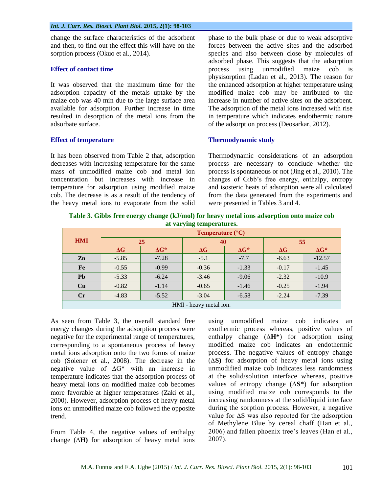change the surface characteristics of the adsorbent and then, to find out the effect this will have on the sorption process (Okuo et al., 2014).

#### **Effect of contact time**

It was observed that the maximum time for the adsorption capacity of the metals uptake by the maize cob was 40 min due to the large surface area available for adsorption. Further increase in time resulted in desorption of the metal ions from the adsorbate surface.

## **Effect of temperature**

It has been observed from Table 2 that, adsorption decreases with increasing temperature for the same mass of unmodified maize cob and metal ion concentration but increases with increase in temperature for adsorption using modified maize cob. The decrease is as a result of the tendency of the heavy metal ions to evaporate from the solid phase to the bulk phase or due to weak adsorptive forces between the active sites and the adsorbed species and also between close by molecules of adsorbed phase. This suggests that the adsorption process using unmodified maize cob is physisorption (Ladan et al., 2013). The reason for the enhanced adsorption at higher temperature using modified maize cob may be attributed to the increase in number of active sites on the adsorbent. The adsorption of the metal ions increased with rise in temperature which indicates endothermic nature of the adsorption process (Deosarkar, 2012).

## **Thermodynamic study**

Thermodynamic considerations of an adsorption process are necessary to conclude whether the process is spontaneous or not (Jing et al., 2010). The changes of Gibb's free energy, enthalpy, entropy and isosteric heats of adsorption were all calculated from the data generated from the experiments and were presented in Tables 3 and 4.

**Table 3. Gibbs free energy change (kJ/mol) for heavy metal ions adsorption onto maize cob at varying temperatures.**

| $\frac{1}{2}$          |                                  |              |            |              |            |              |  |
|------------------------|----------------------------------|--------------|------------|--------------|------------|--------------|--|
| <b>HMI</b>             | <b>Temperature</b> $(^{\circ}C)$ |              |            |              |            |              |  |
|                        | 25                               |              | 40         |              | 55         |              |  |
|                        | $\Delta G$                       | $\Delta G^*$ | $\Delta G$ | $\Delta G^*$ | $\Delta G$ | $\Delta G^*$ |  |
| Zn                     | $-5.85$                          | $-7.28$      | $-5.1$     | $-7.7$       | $-6.63$    | $-12.57$     |  |
| Fe                     | $-0.55$                          | $-0.99$      | $-0.36$    | $-1.33$      | $-0.17$    | $-1.45$      |  |
| <b>Pb</b>              | $-5.33$                          | $-6.24$      | $-3.46$    | $-9.06$      | $-2.32$    | $-10.9$      |  |
| Cu                     | $-0.82$                          | $-1.14$      | $-0.65$    | $-1.46$      | $-0.25$    | $-1.94$      |  |
| Cr                     | $-4.83$                          | $-5.52$      | $-3.04$    | $-6.58$      | $-2.24$    | $-7.39$      |  |
| HMI - heavy metal ion. |                                  |              |            |              |            |              |  |

As seen from Table 3, the overall standard free energy changes during the adsorption process were negative for the experimental range of temperatures, corresponding to a spontaneous process of heavy metal ions adsorption onto the two forms of maize cob (Solener et al., 2008). The decrease in the negative value of ∆G\* with an increase in temperature indicates that the adsorption process of heavy metal ions on modified maize cob becomes more favorable at higher temperatures (Zaki et al., 2000). However, adsorption process of heavy metal ions on unmodified maize cob followed the opposite trend.

From Table 4, the negative values of enthalpy change (**∆H)** for adsorption of heavy metal ions using unmodified maize cob indicates an exothermic process whereas, positive values of enthalpy change (**∆H\***) for adsorption using modified maize cob indicates an endothermic process. The negative values of entropy change (**∆S)** for adsorption of heavy metal ions using unmodified maize cob indicates less randomness at the solid/solution interface whereas, positive values of entropy change (**∆S\***) for adsorption using modified maize cob corresponds to the increasing randomness at the solid/liquid interface during the sorption process. However, a negative value for ∆S was also reported for the adsorption of Methylene Blue by cereal chaff (Han et al., 2006) and fallen phoenix tree's leaves (Han et al., 2007).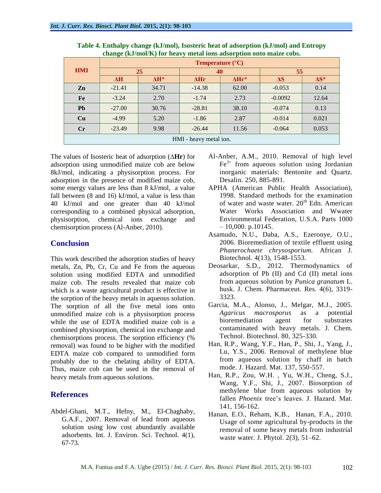| <b>HMI</b>             | <b>Temperature</b> $(^{\circ}C)$ |              |             |                |            |              |  |
|------------------------|----------------------------------|--------------|-------------|----------------|------------|--------------|--|
|                        | 25                               |              | 40          |                | 55         |              |  |
|                        | $\Delta H$                       | $\Delta H^*$ | $\Delta Hr$ | $\Delta H r^*$ | $\Delta S$ | $\Delta S^*$ |  |
| Zn                     | $-21.41$                         | 34.71        | $-14.38$    | 62.00          | $-0.053$   | 0.14         |  |
| Fe                     | $-3.24$                          | 2.70         | $-1.74$     | 2.73           | $-0.0092$  | 12.64        |  |
| <b>Pb</b>              | $-27.00$                         | 30.76        | $-28.81$    | 38.10          | $-0.074$   | 0.13         |  |
| Cu                     | $-4.99$                          | 5.20         | $-1.86$     | 2.87           | $-0.014$   | 0.021        |  |
| $\mathbf{C}$ r         | $-23.49$                         | 9.98         | $-26.44$    | 11.56          | $-0.064$   | 0.053        |  |
| HMI - heavy metal ion. |                                  |              |             |                |            |              |  |

**Table 4. Enthalpy change (kJ/mol), Isosteric heat of adsorption (kJ/mol) and Entropy change (kJ/mol/K) for heavy metal ions adsorption onto maize cobs.**

The values of Isosteric heat of adsorption (**∆Hr**) for adsorption using unmodified maize cob are below 8kJ/mol, indicating a physisorption process. For adsorption in the presence of modified maize cob, some energy values are less than 8 kJ/mol, a value fall between (8 and 16) kJ/mol, a value is less than 40 kJ/mol and one greater than 40 kJ/mol corresponding to a combined physical adsorption, physisorption, chemical ions exchange and chemisorption process (Al-Anber, 2010).

## **Conclusion**

This work described the adsorption studies of heavy metals, Zn, Pb, Cr, Cu and Fe from the aqueous solution using modified EDTA and unmodified maize cob. The results revealed that maize cob which is a waste agricultural product is effective in the sorption of the heavy metals in aqueous solution. The sorption of all the five metal ions onto unmodified maize cob is a physisorption process while the use of EDTA modified maize cob is a combined physisorption, chemical ion exchange and chemisorptions process. The sorption efficiency (% removal) was found to be higher with the modified EDTA maize cob compared to unmodified form probably due to the chelating ability of EDTA. Thus, maize cob can be used in the removal of heavy metals from aqueous solutions.

## **References**

Abdel-Ghani, M.T., Hefny, M., El-Chaghaby, G.A.F., 2007. Removal of lead from aqueous solution using low cost abundantly available adsorbents. Int. J. Environ. Sci. Technol. 4(1), 67-73.

- Al-Anber, A.M., 2010. Removal of high level  $Fe<sup>3+</sup>$  from aqueous solution using Jordanian inorganic materials: Bentonite and Quartz. Desalin. 250, 885-891.
- APHA (American Public Health Association), 1998. Standard methods for the examination of water and waste water.  $20<sup>th</sup>$  Edn. American Water Works Association and Wwater Environmental Federation, U.S.A. Parts 1000  $-10,000$ . p.10145.
- Asamudo, N.U., Daba, A.S., Ezeronye, O.U., 2006. Bioremediation of textile effluent using *Phanerochaete chrysosporium.* African J. Biotechnol. 4(13), 1548-1553.
- Deosarkar, S.D., 2012. Thermodynamics of adsorption of Pb (II) and Cd (II) metal ions from aqueous solution by *Punica granatum* L. husk. J. Chem. Pharmaceut. Res. 4(6), 3319- 3323.
- Garcia, M.A., Alonso, J., Melgar, M.J., 2005. *Agaricus macrosporus* as a potential bioremediation agent for substrates contaminated with heavy metals. J. Chem. Technol. Biotechnol. 80, 325-330.
- Han, R.P., Wang, Y.F., Han, P., Shi, J., Yang, J., Lu, Y.S., 2006. Removal of methylene blue from aqueous solution by chaff in batch mode. J. Hazard. Mat. 137, 550-557.
- Han, R.P., Zou, W.H. , Yu, W.H., Cheng, S.J., Wang, Y.F., Shi, J., 2007. Biosorption of methylene blue from aqueous solution by fallen *Phoenix* tree's leaves. J. Hazard. Mat. 141, 156-162.
- Hanan, E.O., Reham, K.B., Hanan, F.A., 2010. Usage of some agricultural by-products in the removal of some heavy metals from industrial waste water. J. Phytol. 2(3), 51–62.